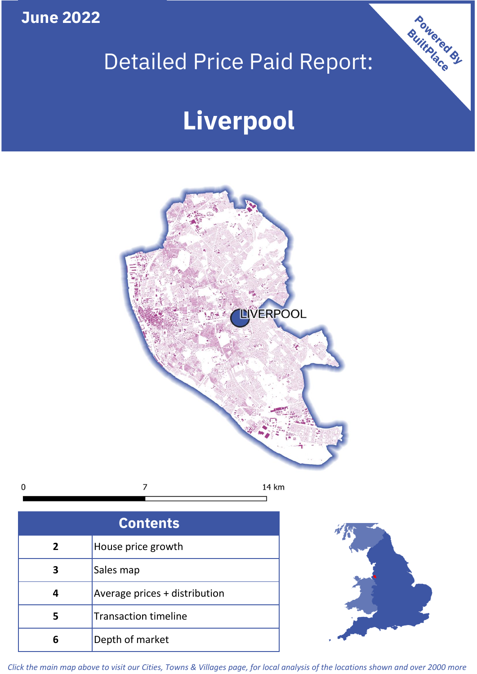**June 2022**

# Detailed Price Paid Report:

# **Liverpool**



| <b>Contents</b> |                               |  |  |
|-----------------|-------------------------------|--|--|
| $\overline{2}$  | House price growth            |  |  |
| 3               | Sales map                     |  |  |
|                 | Average prices + distribution |  |  |
|                 | <b>Transaction timeline</b>   |  |  |
|                 | Depth of market               |  |  |



Powered By

*Click the main map above to visit our Cities, Towns & Villages page, for local analysis of the locations shown and over 2000 more*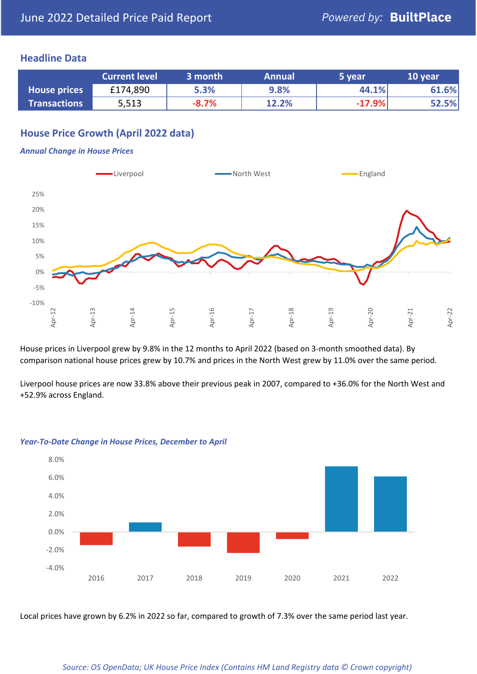#### **Headline Data**

|                     | <b>Current level</b> | 3 month | <b>Annual</b> | 5 year   | 10 year |
|---------------------|----------------------|---------|---------------|----------|---------|
| <b>House prices</b> | £174,890             | 5.3%    | 9.8%          | 44.1%    | 61.6%   |
| <b>Transactions</b> | 5,513                | $-8.7%$ | 12.2%         | $-17.9%$ | 52.5%   |

# **House Price Growth (April 2022 data)**

#### *Annual Change in House Prices*



House prices in Liverpool grew by 9.8% in the 12 months to April 2022 (based on 3-month smoothed data). By comparison national house prices grew by 10.7% and prices in the North West grew by 11.0% over the same period.

Liverpool house prices are now 33.8% above their previous peak in 2007, compared to +36.0% for the North West and +52.9% across England.



#### *Year-To-Date Change in House Prices, December to April*

Local prices have grown by 6.2% in 2022 so far, compared to growth of 7.3% over the same period last year.

#### *Source: OS OpenData; UK House Price Index (Contains HM Land Registry data © Crown copyright)*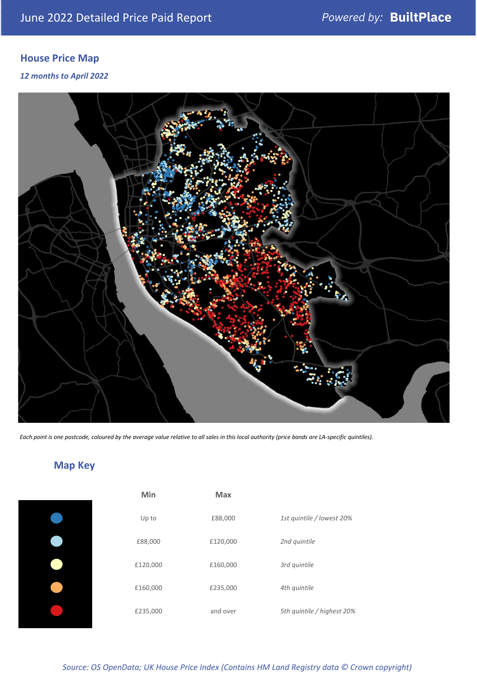# **House Price Map**

#### *12 months to April 2022*



*Each point is one postcode, coloured by the average value relative to all sales in this local authority (price bands are LA-specific quintiles).*

# **Map Key**

| Min      | <b>Max</b> |                            |
|----------|------------|----------------------------|
| Up to    | £88,000    | 1st quintile / lowest 20%  |
| £88,000  | £120,000   | 2nd quintile               |
| £120,000 | £160,000   | 3rd quintile               |
| £160,000 | £235,000   | 4th quintile               |
| £235,000 | and over   | 5th quintile / highest 20% |

### *Source: OS OpenData; UK House Price Index (Contains HM Land Registry data © Crown copyright)*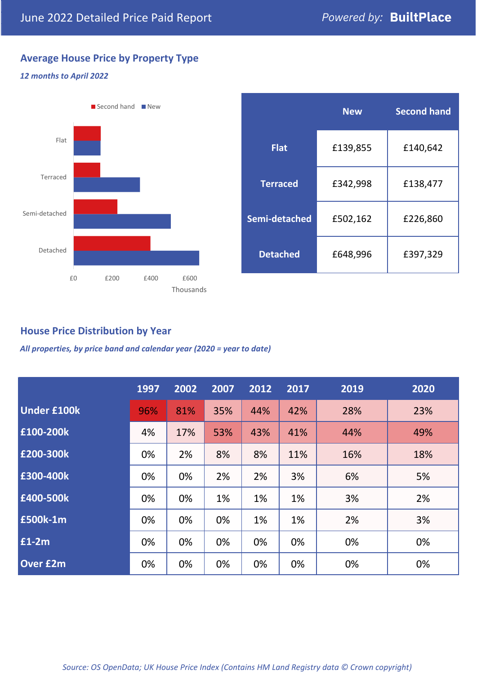# **Average House Price by Property Type**

#### *12 months to April 2022*



|                 | <b>New</b> | <b>Second hand</b> |  |  |
|-----------------|------------|--------------------|--|--|
| <b>Flat</b>     | £139,855   | £140,642           |  |  |
| <b>Terraced</b> | £342,998   | £138,477           |  |  |
| Semi-detached   | £502,162   | £226,860           |  |  |
| <b>Detached</b> | £648,996   | £397,329           |  |  |

# **House Price Distribution by Year**

*All properties, by price band and calendar year (2020 = year to date)*

|                    | 1997 | 2002 | 2007 | 2012 | 2017 | 2019 | 2020 |
|--------------------|------|------|------|------|------|------|------|
| <b>Under £100k</b> | 96%  | 81%  | 35%  | 44%  | 42%  | 28%  | 23%  |
| £100-200k          | 4%   | 17%  | 53%  | 43%  | 41%  | 44%  | 49%  |
| £200-300k          | 0%   | 2%   | 8%   | 8%   | 11%  | 16%  | 18%  |
| £300-400k          | 0%   | 0%   | 2%   | 2%   | 3%   | 6%   | 5%   |
| £400-500k          | 0%   | 0%   | 1%   | 1%   | 1%   | 3%   | 2%   |
| <b>£500k-1m</b>    | 0%   | 0%   | 0%   | 1%   | 1%   | 2%   | 3%   |
| £1-2m              | 0%   | 0%   | 0%   | 0%   | 0%   | 0%   | 0%   |
| <b>Over £2m</b>    | 0%   | 0%   | 0%   | 0%   | 0%   | 0%   | 0%   |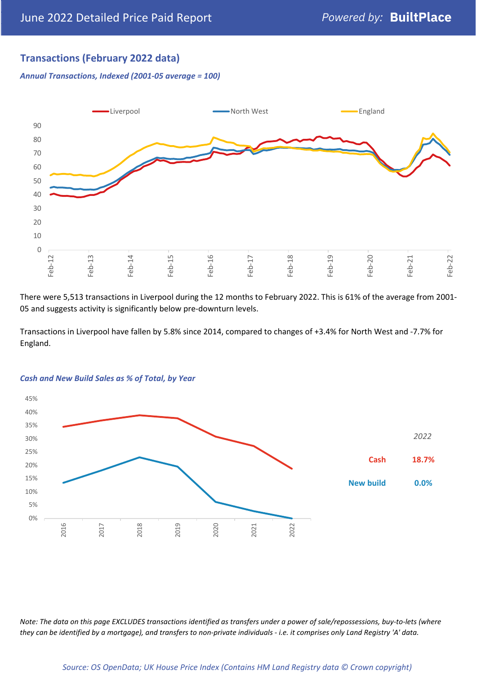# **Transactions (February 2022 data)**

*Annual Transactions, Indexed (2001-05 average = 100)*



There were 5,513 transactions in Liverpool during the 12 months to February 2022. This is 61% of the average from 2001- 05 and suggests activity is significantly below pre-downturn levels.

Transactions in Liverpool have fallen by 5.8% since 2014, compared to changes of +3.4% for North West and -7.7% for England.



#### *Cash and New Build Sales as % of Total, by Year*

*Note: The data on this page EXCLUDES transactions identified as transfers under a power of sale/repossessions, buy-to-lets (where they can be identified by a mortgage), and transfers to non-private individuals - i.e. it comprises only Land Registry 'A' data.*